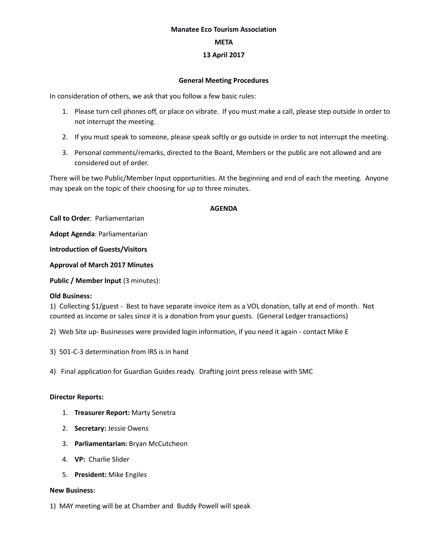#### **Manatee Eco Tourism Association**

### **META**

# **13 April 2017**

#### **General Meeting Procedures**

In consideration of others, we ask that you follow a few basic rules:

- 1. Please turn cell phones off, or place on vibrate. If you must make a call, please step outside in order to not interrupt the meeting.
- 2. If you must speak to someone, please speak softly or go outside in order to not interrupt the meeting.
- 3. Personal comments/remarks, directed to the Board, Members or the public are not allowed and are considered out of order.

There will be two Public/Member Input opportunities. At the beginning and end of each the meeting. Anyone may speak on the topic of their choosing for up to three minutes.

#### **AGENDA**

**Call to Order**: Parliamentarian

**Adopt Agenda**: Parliamentarian

**Introduction of Guests/Visitors**

**Approval of March 2017 Minutes**

**Public / Member Input (3 minutes):** 

# **Old Business:**

1) Collecting \$1/guest - Best to have separate invoice item as a VOL donation, tally at end of month. Not counted as income or sales since it is a donation from your guests. (General Ledger transactions)

- 2) Web Site up- Businesses were provided login information, if you need it again contact Mike E
- 3) 501-C-3 determination from IRS is in hand
- 4) Final application for Guardian Guides ready. Drafting joint press release with SMC

# **Director Reports:**

- 1. **Treasurer Report:** Marty Senetra
- 2. **Secretary:** Jessie Owens
- 3. **Parliamentarian:** Bryan McCutcheon
- 4. **VP:** Charlie Slider
- 5. **President:** Mike Engiles

# **New Business:**

1) MAY meeting will be at Chamber and Buddy Powell will speak